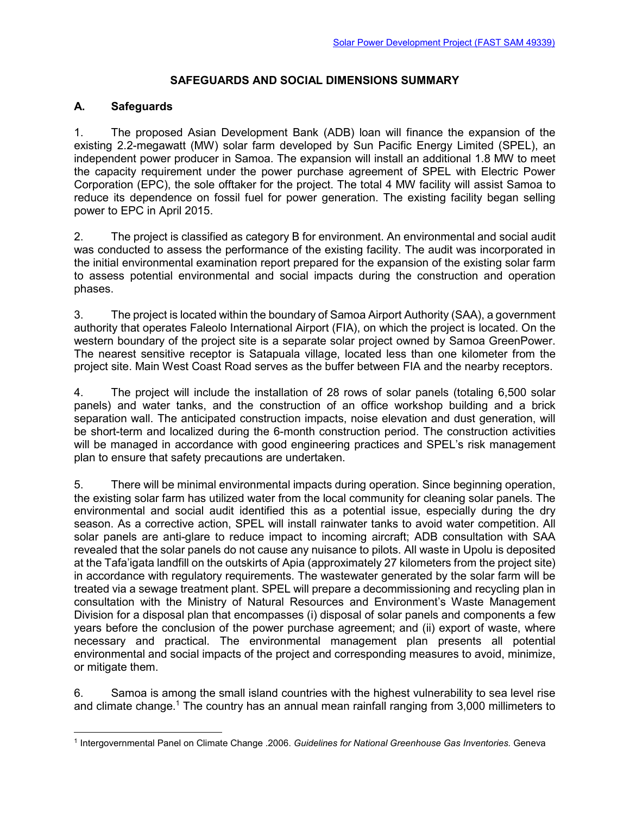## **SAFEGUARDS AND SOCIAL DIMENSIONS SUMMARY**

## **A. Safeguards**

1. The proposed Asian Development Bank (ADB) loan will finance the expansion of the existing 2.2-megawatt (MW) solar farm developed by Sun Pacific Energy Limited (SPEL), an independent power producer in Samoa. The expansion will install an additional 1.8 MW to meet the capacity requirement under the power purchase agreement of SPEL with Electric Power Corporation (EPC), the sole offtaker for the project. The total 4 MW facility will assist Samoa to reduce its dependence on fossil fuel for power generation. The existing facility began selling power to EPC in April 2015.

2. The project is classified as category B for environment. An environmental and social audit was conducted to assess the performance of the existing facility. The audit was incorporated in the initial environmental examination report prepared for the expansion of the existing solar farm to assess potential environmental and social impacts during the construction and operation phases.

3. The project is located within the boundary of Samoa Airport Authority (SAA), a government authority that operates Faleolo International Airport (FIA), on which the project is located. On the western boundary of the project site is a separate solar project owned by Samoa GreenPower. The nearest sensitive receptor is Satapuala village, located less than one kilometer from the project site. Main West Coast Road serves as the buffer between FIA and the nearby receptors.

4. The project will include the installation of 28 rows of solar panels (totaling 6,500 solar panels) and water tanks, and the construction of an office workshop building and a brick separation wall. The anticipated construction impacts, noise elevation and dust generation, will be short-term and localized during the 6-month construction period. The construction activities will be managed in accordance with good engineering practices and SPEL's risk management plan to ensure that safety precautions are undertaken.

5. There will be minimal environmental impacts during operation. Since beginning operation, the existing solar farm has utilized water from the local community for cleaning solar panels. The environmental and social audit identified this as a potential issue, especially during the dry season. As a corrective action, SPEL will install rainwater tanks to avoid water competition. All solar panels are anti-glare to reduce impact to incoming aircraft; ADB consultation with SAA revealed that the solar panels do not cause any nuisance to pilots. All waste in Upolu is deposited at the Tafa'igata landfill on the outskirts of Apia (approximately 27 kilometers from the project site) in accordance with regulatory requirements. The wastewater generated by the solar farm will be treated via a sewage treatment plant. SPEL will prepare a decommissioning and recycling plan in consultation with the Ministry of Natural Resources and Environment's Waste Management Division for a disposal plan that encompasses (i) disposal of solar panels and components a few years before the conclusion of the power purchase agreement; and (ii) export of waste, where necessary and practical. The environmental management plan presents all potential environmental and social impacts of the project and corresponding measures to avoid, minimize, or mitigate them.

6. Samoa is among the small island countries with the highest vulnerability to sea level rise and climate change.<sup>1</sup> The country has an annual mean rainfall ranging from 3,000 millimeters to

<sup>1</sup> Intergovernmental Panel on Climate Change .2006. *Guidelines for National Greenhouse Gas Inventories.* Geneva